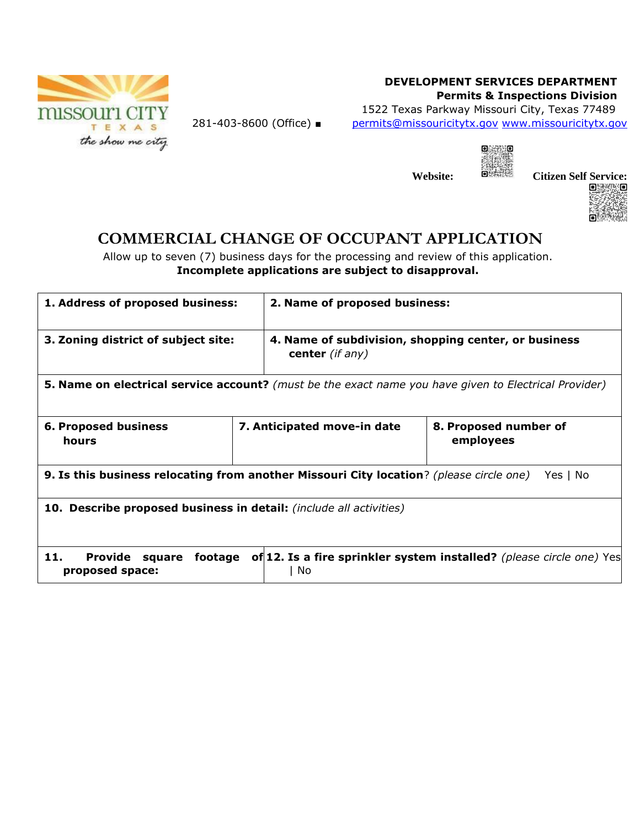

## **DEVELOPMENT SERVICES DEPARTMENT Permits & Inspections Division**

kio

1522 Texas Parkway Missouri City, Texas 77489 281-403-8600 (Office) ■ permits@missouricitytx.gov www.missouricitytx.gov

|     | ο |
|-----|---|
|     |   |
| te: |   |



## **COMMERCIAL CHANGE OF OCCUPANT APPLICATION**

Allow up to seven (7) business days for the processing and review of this application. **Incomplete applications are subject to disapproval.** 

| 1. Address of proposed business:                                                                                                            |  | 2. Name of proposed business:                                           |                                    |  |
|---------------------------------------------------------------------------------------------------------------------------------------------|--|-------------------------------------------------------------------------|------------------------------------|--|
| 3. Zoning district of subject site:                                                                                                         |  | 4. Name of subdivision, shopping center, or business<br>center (if any) |                                    |  |
| <b>5. Name on electrical service account?</b> (must be the exact name you have given to Electrical Provider)                                |  |                                                                         |                                    |  |
| <b>6. Proposed business</b><br><b>hours</b>                                                                                                 |  | 7. Anticipated move-in date                                             | 8. Proposed number of<br>employees |  |
| 9. Is this business relocating from another Missouri City location? (please circle one)<br>Yes I No                                         |  |                                                                         |                                    |  |
| <b>10. Describe proposed business in detail:</b> (include all activities)                                                                   |  |                                                                         |                                    |  |
| 11.<br>of 12. Is a fire sprinkler system installed? (please circle one) Yes<br><b>Provide</b><br>footage<br>square<br>proposed space:<br>No |  |                                                                         |                                    |  |